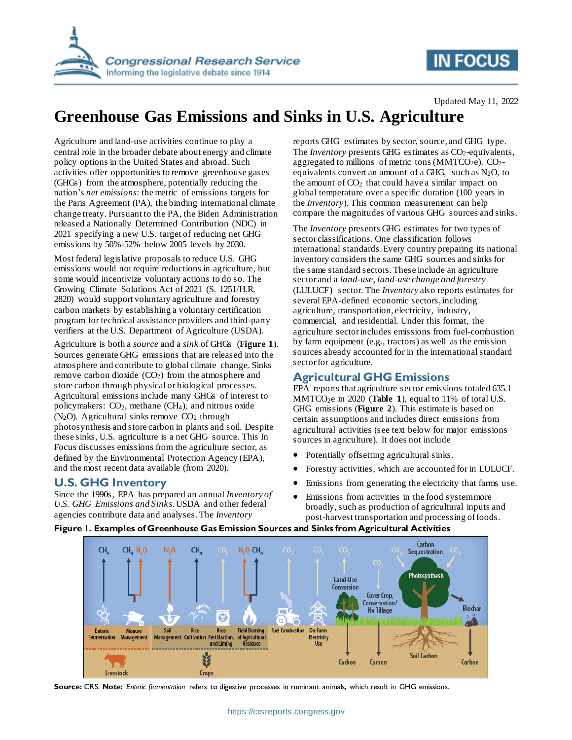

# **IN FOCUS**

Updated May 11, 2022

# **Greenhouse Gas Emissions and Sinks in U.S. Agriculture**

Agriculture and land-use activities continue to play a central role in the broader debate about energy and climate policy options in the United States and abroad. Such activities offer opportunities to remove greenhouse gases (GHGs) from the atmosphere, potentially reducing the nation's *net emissions*: the metric of emissions targets for the Paris Agreement (PA), the binding international climate change treaty. Pursuant to the PA, the Biden Administration released a Nationally Determined Contribution (NDC) in 2021 specifying a new U.S. target of reducing net GHG emissions by 50%-52% below 2005 levels by 2030.

Most federal legislative proposals to reduce U.S. GHG emissions would not require reductions in agriculture, but some would incentivize voluntary actions to do so. The Growing Climate Solutions Act of 2021 (S. 1251/H.R. 2820) would support voluntary agriculture and forestry carbon markets by establishing a voluntary certification program for technical assistance providers and third-party verifiers at the U.S. Department of Agriculture (USDA).

Agriculture is both a *source* and a *sink* of GHGs (**[Figure 1](#page-0-0)**). Sources generate GHG emissions that are released into the atmosphere and contribute to global climate change. Sinks remove carbon dioxide  $(CO<sub>2</sub>)$  from the atmosphere and store carbon through physical or biological processes. Agricultural emissions include many GHGs of interest to policymakers:  $CO<sub>2</sub>$ , methane (CH<sub>4</sub>), and nitrous oxide  $(N_2O)$ . Agricultural sinks remove  $CO<sub>2</sub>$  through photosynthesis and store carbon in plants and soil. Despite these sinks, U.S. agriculture is a net GHG source. This In Focus discusses emissions from the agriculture sector, as defined by the Environmental Protection Agency (EPA), and the most recent data available (from 2020).

### **U.S. GHG Inventory**

Since the 1990s, EPA has prepared an annual *Inventory of U.S. GHG Emissions and Sinks*. USDA and other federal agencies contribute data and analyses.The *Inventory*

reports GHG estimates by sector, source, and GHG type. The *Inventory* presents GHG estimates as CO<sub>2</sub>-equivalents, aggregated to millions of metric tons (MMTCO<sub>2</sub>e). CO<sub>2</sub>equivalents convert an amount of a GHG, such as  $N_2O$ , to the amount of  $CO<sub>2</sub>$  that could have a similar impact on global temperature over a specific duration (100 years in the *Inventory*). This common measurement can help compare the magnitudes of various GHG sources and sinks.

The *Inventory* presents GHG estimates for two types of sector classifications. One classification follows international standards. Every country preparing its national inventory considers the same GHG sources and sinks for the same standard sectors. These include an agriculture sector and a *land-use, land-use change and forestry* (LULUCF) sector*.* The *Inventory* also reports estimates for several EPA-defined economic sectors, including agriculture, transportation, electricity, industry, commercial, and residential. Under this format, the agriculture sector includes emissions from fuel-combustion by farm equipment (e.g., tractors) as well as the emission sources already accounted for in the international standard sector for agriculture.

## **Agricultural GHG Emissions**

EPA reports that agriculture sector emissions totaled 635.1 MMTCO2e in 2020 (**[Table 1](#page-1-0)**), equal to 11% of total U.S. GHG emissions (**[Figure 2](#page-1-1)**). This estimate is based on certain assumptions and includes direct emissions from agricultural activities (see text below for major emissions sources in agriculture). It does not include

- Potentially offsetting agricultural sinks.
- Forestry activities, which are accounted for in LULUCF.
- Emissions from generating the electricity that farms use.
- Emissions from activities in the food system more broadly, such as production of agricultural inputs and post-harvest transportation and processing of foods.

#### <span id="page-0-0"></span>**Figure 1. Examples of Greenhouse Gas Emission Sources and Sinks from Agricultural Activities**



**Source:** CRS. **Note:** *Enteric fermentation* refers to digestive processes in ruminant animals, which result in GHG emissions.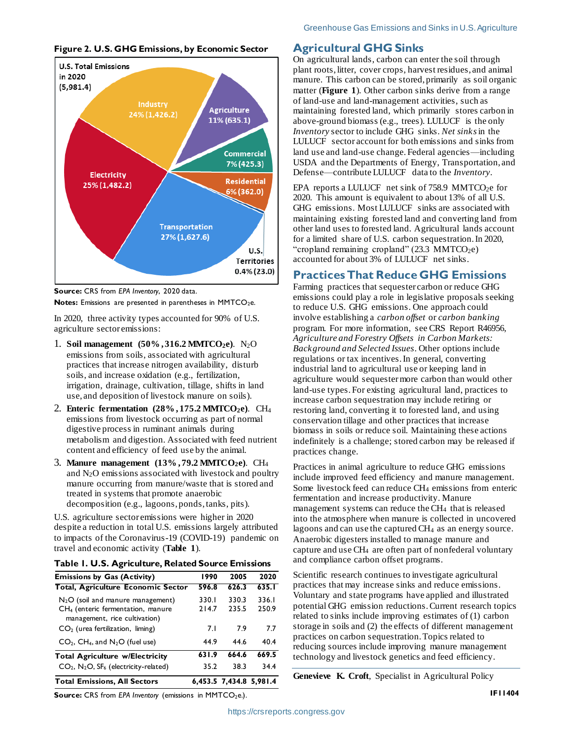

<span id="page-1-1"></span>**Figure 2. U.S. GHG Emissions, by Economic Sector**

**Source:** CRS from *EPA Inventory*, 2020 data.

**Notes:** Emissions are presented in parentheses in MMTCO<sub>2</sub>e.

In 2020, three activity types accounted for 90% of U.S. agriculture sector emissions:

- 1. **Soil management (50% , 316.2 MMTCO2e)**. N2O emissions from soils, associated with agricultural practices that increase nitrogen availability, disturb soils, and increase oxidation (e.g., fertilization, irrigation, drainage, cultivation, tillage, shifts in land use, and deposition of livestock manure on soils).
- 2. **Enteric fermentation (28%, 175.2 MMTCO2e)**. CH<sup>4</sup> emissions from livestock occurring as part of normal digestive process in ruminant animals during metabolism and digestion. Associated with feed nutrient content and efficiency of feed use by the animal.
- 3. **Manure management (13% , 79.2 MMTCO2e)**. CH<sup>4</sup> and N2O emissions associated with livestock and poultry manure occurring from manure/waste that is stored and treated in systems that promote anaerobic decomposition (e.g., lagoons, ponds, tanks, pits).

U.S. agriculture sector emissions were higher in 2020 despite a reduction in total U.S. emissions largely attributed to impacts of the Coronavirus-19 (COVID-19) pandemic on travel and economic activity (**[Table 1](#page-1-0)**).

| . www.charge.com/content-content-com/com/communication                                                                |                |                         |                |
|-----------------------------------------------------------------------------------------------------------------------|----------------|-------------------------|----------------|
| <b>Emissions by Gas (Activity)</b>                                                                                    | 1990           | 2005                    | 2020           |
| Total, Agriculture Economic Sector                                                                                    | 596.8          | 626.3                   | 635.1          |
| $N_2O$ (soil and manure management)<br>CH <sub>4</sub> (enteric fermentation, manure<br>management, rice cultivation) | 330.I<br>214.7 | 330.3<br>235.5          | 336.1<br>250.9 |
| $CO2$ (urea fertilization, liming)                                                                                    | 7.1            | 7.9                     | 7.7            |
| $CO2$ , CH <sub>4</sub> , and N <sub>2</sub> O (fuel use)                                                             | 44.9           | 44.6                    | 40.4           |
| <b>Total Agriculture w/Electricity</b>                                                                                | 631.9          | 664.6                   | 669.5          |
| CO <sub>2</sub> , N <sub>2</sub> O, SF <sub>6</sub> (electricity-related)                                             | 35.2           | 38.3                    | 34.4           |
| <b>Total Emissions, All Sectors</b>                                                                                   |                | 6,453.5 7,434.8 5,981.4 |                |

<span id="page-1-0"></span>**Table 1. U.S. Agriculture, Related Source Emissions**

### **Agricultural GHG Sinks**

On agricultural lands, carbon can enter the soil through plant roots, litter, cover crops, harvest residues, and animal manure. This carbon can be stored, primarily as soil organic matter (**[Figure 1](#page-0-0)**). Other carbon sinks derive from a range of land-use and land-management activities, such as maintaining forested land, which primarily stores carbon in above-ground biomass (e.g., trees). LULUCF is the only *Inventory* sector to include GHG sinks. *Net sinks*in the LULUCF sector account for both emissions and sinks from land use and land-use change. Federal agencies—including USDA and the Departments of Energy, Transportation, and Defense—contribute LULUCF data to the *Inventory*.

EPA reports a LULUCF net sink of  $758.9$  MMTCO<sub>2</sub>e for 2020. This amount is equivalent to about 13% of all U.S. GHG emissions. Most LULUCF sinks are associated with maintaining existing forested land and converting land from other land uses to forested land. Agricultural lands account for a limited share of U.S. carbon sequestration. In 2020, "cropland remaining cropland"  $(23.3 \text{ MMTCO}_2)$ accounted for about 3% of LULUCF net sinks.

## **Practices That Reduce GHG Emissions**

Farming practices that sequester carbon or reduce GHG emissions could play a role in legislative proposals seeking to reduce U.S. GHG emissions. One approach could involve establishing a *carbon offset* or *carbon banking* program. For more information, see CRS Report R46956, *Agriculture and Forestry Offsets in Carbon Markets: Background and Selected Issues*. Other options include regulations or tax incentives. In general, converting industrial land to agricultural use or keeping land in agriculture would sequester more carbon than would other land-use types. For existing agricultural land, practices to increase carbon sequestration may include retiring or restoring land, converting it to forested land, and using conservation tillage and other practices that increase biomass in soils or reduce soil. Maintaining these actions indefinitely is a challenge; stored carbon may be released if practices change.

Practices in animal agriculture to reduce GHG emissions include improved feed efficiency and manure management. Some livestock feed can reduce CH<sup>4</sup> emissions from enteric fermentation and increase productivity. Manure management systems can reduce the CH<sup>4</sup> that is released into the atmosphere when manure is collected in uncovered lagoons and can use the captured CH<sub>4</sub> as an energy source. Anaerobic digesters installed to manage manure and capture and use CH<sup>4</sup> are often part of nonfederal voluntary and compliance carbon offset programs.

Scientific research continues to investigate agricultural practices that may increase sinks and reduce emissions. Voluntary and state programs have applied and illustrated potential GHG emission reductions. Current research topics related to sinks include improving estimates of (1) carbon storage in soils and (2) the effects of different management practices on carbon sequestration. Topics related to reducing sources include improving manure management technology and livestock genetics and feed efficiency.

**Genevieve K. Croft**, Specialist in Agricultural Policy

**Source:** CRS from *EPA Inventory* (emissions in MMTCO<sub>2</sub>e.).